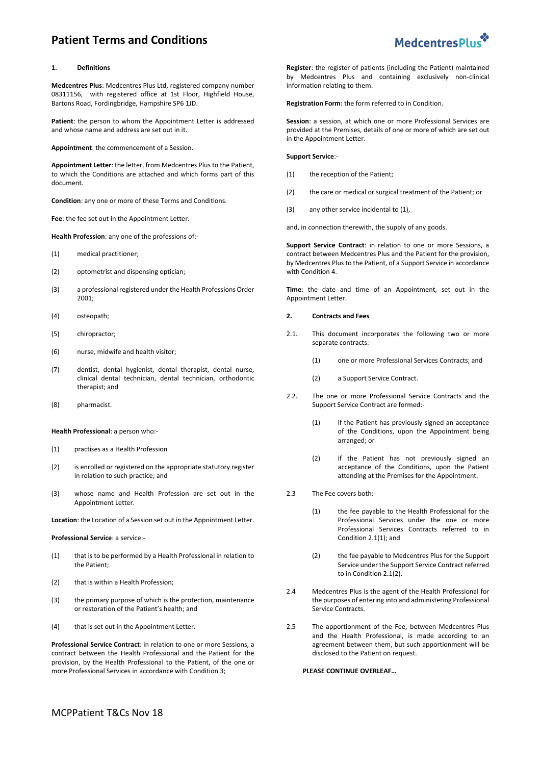# **Patient Terms and Conditions**



#### **1. Definitions**

**Medcentres Plus**: Medcentres Plus Ltd, registered company number 08311156, with registered office at 1st Floor, Highfield House, Bartons Road, Fordingbridge, Hampshire SP6 1JD.

**Patient**: the person to whom the Appointment Letter is addressed and whose name and address are set out in it.

**Appointment**: the commencement of a Session.

**Appointment Letter**: the letter, from Medcentres Plus to the Patient, to which the Conditions are attached and which forms part of this document.

**Condition**: any one or more of these Terms and Conditions.

**Fee**: the fee set out in the Appointment Letter.

**Health Profession**: any one of the professions of:-

- (1) medical practitioner;
- (2) optometrist and dispensing optician;
- (3) a professional registered under the Health Professions Order 2001;
- (4) osteopath;
- (5) chiropractor;
- (6) nurse, midwife and health visitor;
- (7) dentist, dental hygienist, dental therapist, dental nurse, clinical dental technician, dental technician, orthodontic therapist; and
- (8) pharmacist.

#### **Health Professional**: a person who:-

- (1) practises as a Health Profession
- (2) is enrolled or registered on the appropriate statutory register in relation to such practice; and
- (3) whose name and Health Profession are set out in the Appointment Letter.

**Location**: the Location of a Session set out in the Appointment Letter.

#### **Professional Service**: a service:-

- (1) that is to be performed by a Health Professional in relation to the Patient;
- (2) that is within a Health Profession;
- (3) the primary purpose of which is the protection, maintenance or restoration of the Patient's health; and
- (4) that is set out in the Appointment Letter.

**Professional Service Contract**: in relation to one or more Sessions, a contract between the Health Professional and the Patient for the provision, by the Health Professional to the Patient, of the one or more Professional Services in accordance with Conditio[n 3;](#page-1-0)

**Register**: the register of patients (including the Patient) maintained by Medcentres Plus and containing exclusively non-clinical information relating to them.

**Registration Form:** the form referred to in Condition.

**Session**: a session, at which one or more Professional Services are provided at the Premises, details of one or more of which are set out in the Appointment Letter.

**Support Service**:-

- <span id="page-0-0"></span>(1) the reception of the Patient;
- (2) the care or medical or surgical treatment of the Patient; or
- (3) any other service incidental t[o \(1\),](#page-0-0)
- and, in connection therewith, the supply of any goods.

**Support Service Contract**: in relation to one or more Sessions, a contract between Medcentres Plus and the Patient for the provision, by Medcentres Plus to the Patient, of a Support Service in accordance with Conditio[n 4.](#page-1-1)

**Time**: the date and time of an Appointment, set out in the Appointment Letter.

#### **2. Contracts and Fees**

- <span id="page-0-1"></span>2.1. This document incorporates the following two or more separate contracts:-
	- (1) one or more Professional Services Contracts; and
	- (2) a Support Service Contract.
- <span id="page-0-2"></span>2.2. The one or more Professional Service Contracts and the Support Service Contract are formed:-
	- (1) if the Patient has previously signed an acceptance of the Conditions, upon the Appointment being arranged; or
	- (2) if the Patient has not previously signed an acceptance of the Conditions, upon the Patient attending at the Premises for the Appointment.
- 2.3 The Fee covers both:-
	- (1) the fee payable to the Health Professional for the Professional Services under the one or more Professional Services Contracts referred to in Conditio[n 2.1\(1\);](#page-0-1) and
	- (2) the fee payable to Medcentres Plus for the Support Service under the Support Service Contract referred to in Conditio[n 2.1\(2\).](#page-0-2)
- 2.4 Medcentres Plus is the agent of the Health Professional for the purposes of entering into and administering Professional Service Contracts.
- <span id="page-0-3"></span>2.5 The apportionment of the Fee, between Medcentres Plus and the Health Professional, is made according to an agreement between them, but such apportionment will be disclosed to the Patient on request.

# **PLEASE CONTINUE OVERLEAF…**